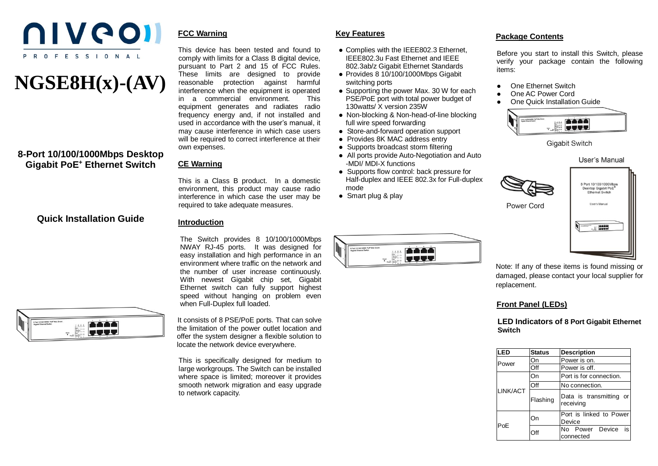

# **NGSE8H(x)-(AV)**

## **8-Port 10/100/1000Mbps Desktop Gigabit PoE<sup>+</sup> Ethernet Switch**

#### **FCC Warning**

This device has been tested and found to comply with limits for a Class B digital device. pursuant to Part 2 and 15 of FCC Rules. These limits are designed to provide reasonable protection against harmful interference when the equipment is operated in a commercial environment. This equipment generates and radiates radio frequency energy and, if not installed and used in accordance with the user's manual, it may cause interference in which case users will be required to correct interference at their own expenses.

#### **CE Warning**

This is a Class B product. In a domestic environment, this product may cause radio interference in which case the user may be required to take adequate measures.

## **Quick Installation Guide**

#### **Introduction**

The Switch provides 8 10/100/1000Mbps NWAY RJ-45 ports. It was designed for easy installation and high performance in an environment where traffic on the network and the number of user increase continuously. With newest Gigabit chip set, Gigabit Ethernet switch can fully support highest speed without hanging on problem even when Full-Duplex full loaded.



It consists of 8 PSE/PoE ports. That can solve the limitation of the power outlet location and offer the system designer a flexible solution to locate the network device everywhere.

This is specifically designed for medium to large workgroups. The Switch can be installed where space is limited; moreover it provides smooth network migration and easy upgrade to network capacity.

## **Key Features**

- Complies with the IEEE802.3 Ethernet, IEEE802.3u Fast Ethernet and IEEE 802.3ab/z Gigabit Ethernet Standards
- Provides 8 10/100/1000Mbps Gigabit switching ports
- Supporting the power Max. 30 W for each PSE/PoE port with total power budget of 130watts/ X version 235W
- Non-blocking & Non-head-of-line blocking full wire speed forwarding
- Store-and-forward operation support
- Provides 8K MAC address entry
- Supports broadcast storm filtering
- All ports provide Auto-Negotiation and Auto -MDI/ MDI-X functions
- Supports flow control: back pressure for Half-duplex and IEEE 802.3x for Full-duplex mode
- Smart plug & play

#### **Package Contents**

Before you start to install this Switch, please verify your package contain the following items:

- One Ethernet Switch
- One AC Power Cord
- One Quick Installation Guide



**Gigabit Switch** 



8 Port 10/100/1000Mbps Desktop Gigabit PoE<sup>1</sup> Ethernet Switch







Note: If any of these items is found missing or damaged, please contact your local supplier for replacement.

## **Front Panel (LEDs)**

**LED Indicators of 8 Port Gigabit Ethernet Switch**

| LED      | <b>Status</b> | <b>Description</b>                   |
|----------|---------------|--------------------------------------|
| Power    | On            | Power is on.                         |
|          | Off           | Power is off.                        |
| LINK/ACT | On            | Port is for connection.              |
|          | Off           | No connection.                       |
|          | Flashing      | Data is transmitting or<br>receiving |
| PoE      | On            | Port is linked to Power<br>Device    |
|          | Off           | No Power Device<br>is<br>connected   |